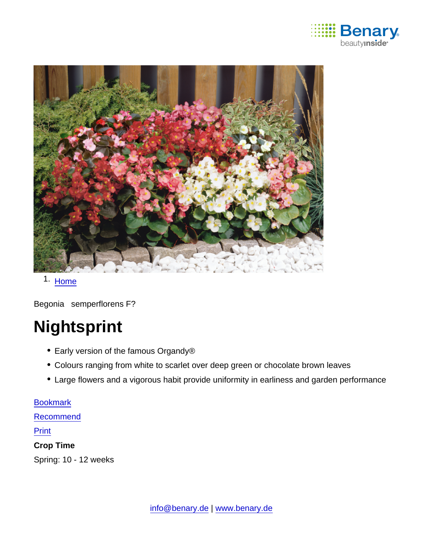

1. [Home](https://www.benary.com/)

Begonia semperflorens F?

# **Nightsprint**

- Early version of the famous Organdy®
- Colours ranging from white to scarlet over deep green or chocolate brown leaves
- Large flowers and a vigorous habit provide uniformity in earliness and garden performance

[Bookmark](https://www.benary.com/flag/flag/product/5626?destination&token=kuDAMEsrPaSiVZFLPGYjAj8-KDM0GgxG6nECNvvAbs8) [Recommend](mailto:?subject=Benary Begonia semperflorens F₁ &body=https://www.benary.com/print/pdf/node/5626) Print Crop Time Spring: 10 - 12 weeks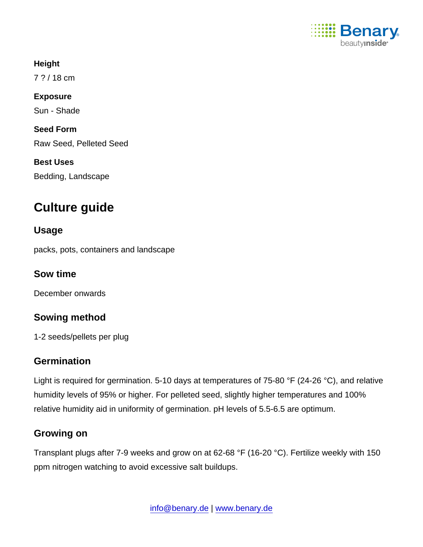

**Height** 7 ? / 18 cm Exposure Sun - Shade Seed Form Raw Seed, Pelleted Seed Best Uses Bedding, Landscape

# Culture guide

Usage

packs, pots, containers and landscape

Sow time

December onwards

Sowing method

1-2 seeds/pellets per plug

# **Germination**

Light is required for germination. 5-10 days at temperatures of 75-80 °F (24-26 °C), and relative humidity levels of 95% or higher. For pelleted seed, slightly higher temperatures and 100% relative humidity aid in uniformity of germination. pH levels of 5.5-6.5 are optimum.

# Growing on

Transplant plugs after 7-9 weeks and grow on at 62-68 °F (16-20 °C). Fertilize weekly with 150 ppm nitrogen watching to avoid excessive salt buildups.